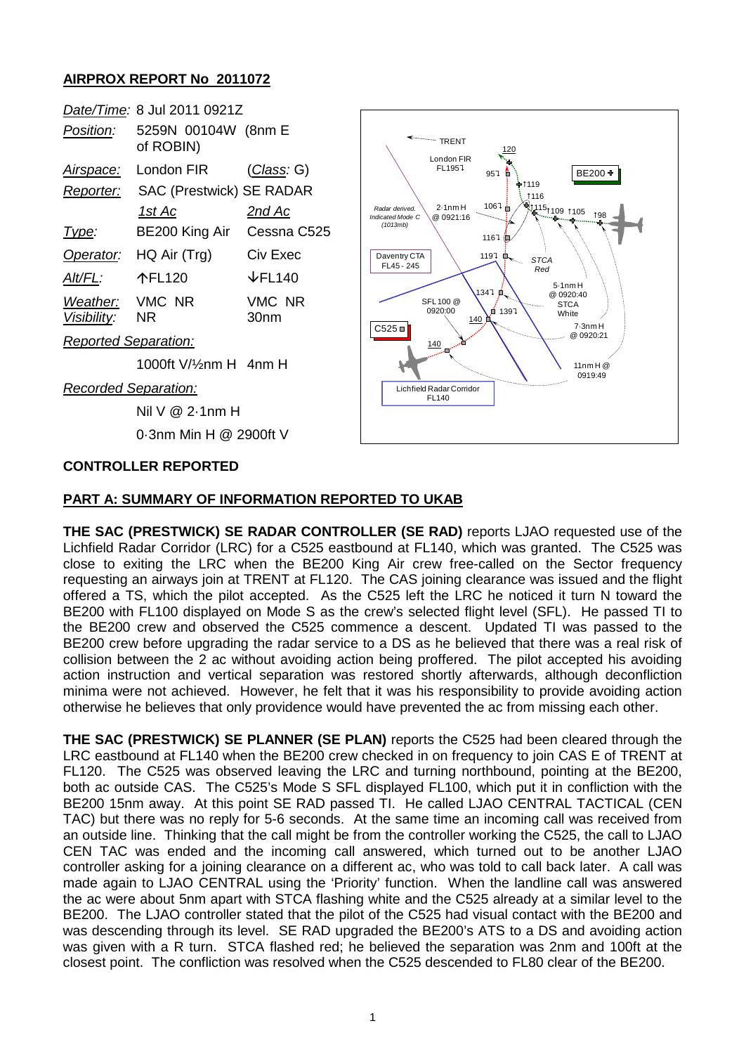## **AIRPROX REPORT No 2011072**

|                         | Date/Time: 8 Jul 2011 0921Z      |                             |
|-------------------------|----------------------------------|-----------------------------|
| <i>Position:</i>        | 5259N 00104W (8nm E<br>of ROBIN) |                             |
| <u>Airspace:</u>        | London FIR                       | ( <i>Class:</i> G)          |
| Reporter:               | <b>SAC (Prestwick) SE RADAR</b>  |                             |
|                         | 1st Ac                           | 2nd Ac                      |
| Type:                   | BE200 King Air                   | Cessna C525                 |
| Operator:               | HQ Air (Trg)                     | Civ Exec                    |
| Alt/FL:                 | 个FL120                           | $\overline{\text{VFL}}$ 140 |
| Weather:<br>Visibility: | VMC NR<br>NR                     | VMC NR<br>30 <sub>nm</sub>  |

*Reported Separation:*

1000ft V/½nm H 4nm H

*Recorded Separation:*

Nil V @ 2·1nm H 0·3nm Min H @ 2900ft V

## **CONTROLLER REPORTED**

#### **PART A: SUMMARY OF INFORMATION REPORTED TO UKAB**

**THE SAC (PRESTWICK) SE RADAR CONTROLLER (SE RAD)** reports LJAO requested use of the Lichfield Radar Corridor (LRC) for a C525 eastbound at FL140, which was granted. The C525 was close to exiting the LRC when the BE200 King Air crew free-called on the Sector frequency requesting an airways join at TRENT at FL120. The CAS joining clearance was issued and the flight offered a TS, which the pilot accepted. As the C525 left the LRC he noticed it turn N toward the BE200 with FL100 displayed on Mode S as the crew's selected flight level (SFL). He passed TI to the BE200 crew and observed the C525 commence a descent. Updated TI was passed to the BE200 crew before upgrading the radar service to a DS as he believed that there was a real risk of collision between the 2 ac without avoiding action being proffered. The pilot accepted his avoiding action instruction and vertical separation was restored shortly afterwards, although deconfliction minima were not achieved. However, he felt that it was his responsibility to provide avoiding action otherwise he believes that only providence would have prevented the ac from missing each other.

**THE SAC (PRESTWICK) SE PLANNER (SE PLAN)** reports the C525 had been cleared through the LRC eastbound at FL140 when the BE200 crew checked in on frequency to join CAS E of TRENT at FL120. The C525 was observed leaving the LRC and turning northbound, pointing at the BE200, both ac outside CAS. The C525's Mode S SFL displayed FL100, which put it in confliction with the BE200 15nm away. At this point SE RAD passed TI. He called LJAO CENTRAL TACTICAL (CEN TAC) but there was no reply for 5-6 seconds. At the same time an incoming call was received from an outside line. Thinking that the call might be from the controller working the C525, the call to LJAO CEN TAC was ended and the incoming call answered, which turned out to be another LJAO controller asking for a joining clearance on a different ac, who was told to call back later. A call was made again to LJAO CENTRAL using the 'Priority' function. When the landline call was answered the ac were about 5nm apart with STCA flashing white and the C525 already at a similar level to the BE200. The LJAO controller stated that the pilot of the C525 had visual contact with the BE200 and was descending through its level. SE RAD upgraded the BE200's ATS to a DS and avoiding action was given with a R turn. STCA flashed red; he believed the separation was 2nm and 100ft at the closest point. The confliction was resolved when the C525 descended to FL80 clear of the BE200.

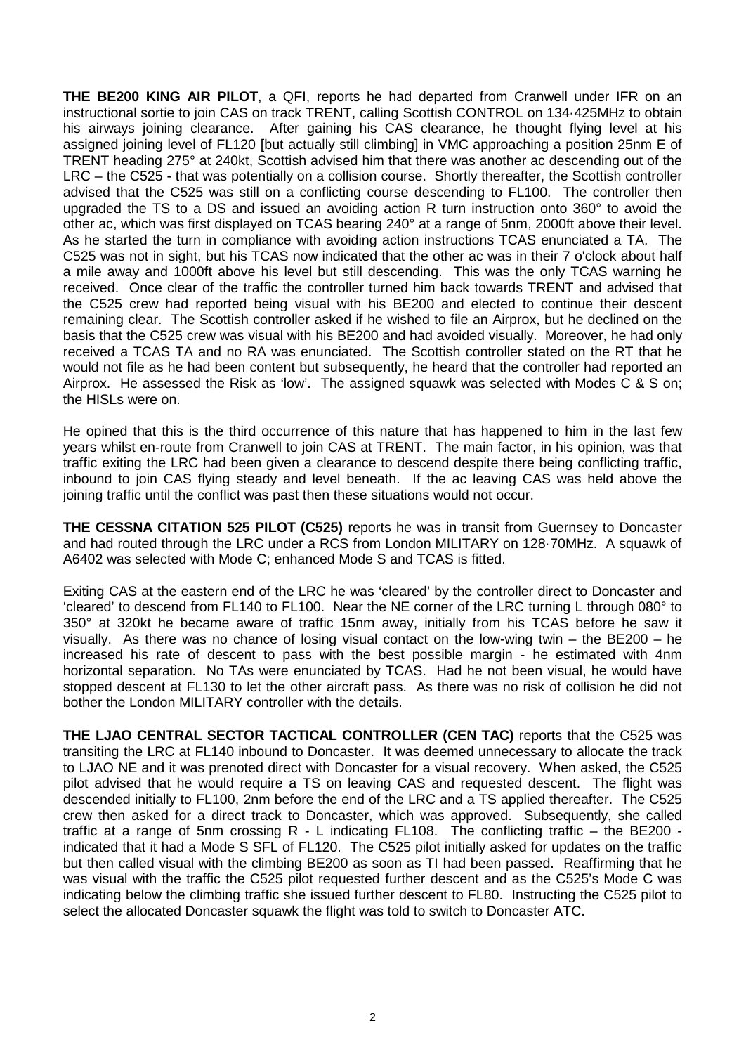**THE BE200 KING AIR PILOT**, a QFI, reports he had departed from Cranwell under IFR on an instructional sortie to join CAS on track TRENT, calling Scottish CONTROL on 134·425MHz to obtain his airways joining clearance. After gaining his CAS clearance, he thought flying level at his assigned joining level of FL120 [but actually still climbing] in VMC approaching a position 25nm E of TRENT heading 275° at 240kt, Scottish advised him that there was another ac descending out of the LRC – the C525 - that was potentially on a collision course. Shortly thereafter, the Scottish controller advised that the C525 was still on a conflicting course descending to FL100. The controller then upgraded the TS to a DS and issued an avoiding action R turn instruction onto 360° to avoid the other ac, which was first displayed on TCAS bearing 240° at a range of 5nm, 2000ft above their level. As he started the turn in compliance with avoiding action instructions TCAS enunciated a TA. The C525 was not in sight, but his TCAS now indicated that the other ac was in their 7 o'clock about half a mile away and 1000ft above his level but still descending. This was the only TCAS warning he received. Once clear of the traffic the controller turned him back towards TRENT and advised that the C525 crew had reported being visual with his BE200 and elected to continue their descent remaining clear. The Scottish controller asked if he wished to file an Airprox, but he declined on the basis that the C525 crew was visual with his BE200 and had avoided visually. Moreover, he had only received a TCAS TA and no RA was enunciated. The Scottish controller stated on the RT that he would not file as he had been content but subsequently, he heard that the controller had reported an Airprox. He assessed the Risk as 'low'. The assigned squawk was selected with Modes C & S on; the HISLs were on.

He opined that this is the third occurrence of this nature that has happened to him in the last few years whilst en-route from Cranwell to join CAS at TRENT. The main factor, in his opinion, was that traffic exiting the LRC had been given a clearance to descend despite there being conflicting traffic, inbound to join CAS flying steady and level beneath. If the ac leaving CAS was held above the joining traffic until the conflict was past then these situations would not occur.

**THE CESSNA CITATION 525 PILOT (C525)** reports he was in transit from Guernsey to Doncaster and had routed through the LRC under a RCS from London MILITARY on 128·70MHz. A squawk of A6402 was selected with Mode C; enhanced Mode S and TCAS is fitted.

Exiting CAS at the eastern end of the LRC he was 'cleared' by the controller direct to Doncaster and 'cleared' to descend from FL140 to FL100. Near the NE corner of the LRC turning L through 080° to 350° at 320kt he became aware of traffic 15nm away, initially from his TCAS before he saw it visually. As there was no chance of losing visual contact on the low-wing twin – the BE200 – he increased his rate of descent to pass with the best possible margin - he estimated with 4nm horizontal separation. No TAs were enunciated by TCAS. Had he not been visual, he would have stopped descent at FL130 to let the other aircraft pass. As there was no risk of collision he did not bother the London MILITARY controller with the details.

**THE LJAO CENTRAL SECTOR TACTICAL CONTROLLER (CEN TAC)** reports that the C525 was transiting the LRC at FL140 inbound to Doncaster. It was deemed unnecessary to allocate the track to LJAO NE and it was prenoted direct with Doncaster for a visual recovery. When asked, the C525 pilot advised that he would require a TS on leaving CAS and requested descent. The flight was descended initially to FL100, 2nm before the end of the LRC and a TS applied thereafter. The C525 crew then asked for a direct track to Doncaster, which was approved. Subsequently, she called traffic at a range of 5nm crossing R - L indicating FL108. The conflicting traffic – the BE200 indicated that it had a Mode S SFL of FL120. The C525 pilot initially asked for updates on the traffic but then called visual with the climbing BE200 as soon as TI had been passed. Reaffirming that he was visual with the traffic the C525 pilot requested further descent and as the C525's Mode C was indicating below the climbing traffic she issued further descent to FL80. Instructing the C525 pilot to select the allocated Doncaster squawk the flight was told to switch to Doncaster ATC.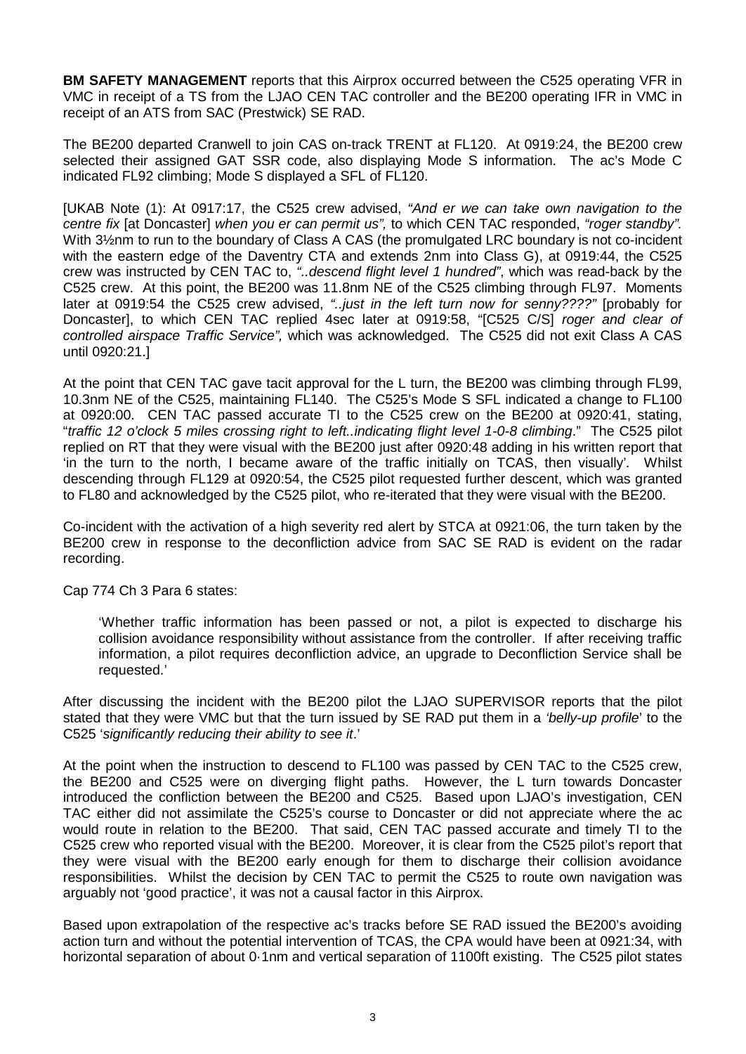**BM SAFETY MANAGEMENT** reports that this Airprox occurred between the C525 operating VFR in VMC in receipt of a TS from the LJAO CEN TAC controller and the BE200 operating IFR in VMC in receipt of an ATS from SAC (Prestwick) SE RAD.

The BE200 departed Cranwell to join CAS on-track TRENT at FL120. At 0919:24, the BE200 crew selected their assigned GAT SSR code, also displaying Mode S information. The ac's Mode C indicated FL92 climbing; Mode S displayed a SFL of FL120.

[UKAB Note (1): At 0917:17, the C525 crew advised, *"And er we can take own navigation to the centre fix* [at Doncaster] *when you er can permit us",* to which CEN TAC responded, *"roger standby".*  With 3½nm to run to the boundary of Class A CAS (the promulgated LRC boundary is not co-incident with the eastern edge of the Daventry CTA and extends 2nm into Class G), at 0919:44, the C525 crew was instructed by CEN TAC to, *"..descend flight level 1 hundred"*, which was read-back by the C525 crew. At this point, the BE200 was 11.8nm NE of the C525 climbing through FL97. Moments later at 0919:54 the C525 crew advised, *"..just in the left turn now for senny????"* [probably for Doncaster], to which CEN TAC replied 4sec later at 0919:58, "[C525 C/S] *roger and clear of controlled airspace Traffic Service",* which was acknowledged. The C525 did not exit Class A CAS until 0920:21.]

At the point that CEN TAC gave tacit approval for the L turn, the BE200 was climbing through FL99, 10.3nm NE of the C525, maintaining FL140. The C525's Mode S SFL indicated a change to FL100 at 0920:00. CEN TAC passed accurate TI to the C525 crew on the BE200 at 0920:41, stating, "*traffic 12 o'clock 5 miles crossing right to left..indicating flight level 1-0-8 climbing*." The C525 pilot replied on RT that they were visual with the BE200 just after 0920:48 adding in his written report that 'in the turn to the north, I became aware of the traffic initially on TCAS, then visually'*.* Whilst descending through FL129 at 0920:54, the C525 pilot requested further descent, which was granted to FL80 and acknowledged by the C525 pilot, who re-iterated that they were visual with the BE200.

Co-incident with the activation of a high severity red alert by STCA at 0921:06, the turn taken by the BE200 crew in response to the deconfliction advice from SAC SE RAD is evident on the radar recording.

Cap 774 Ch 3 Para 6 states:

'Whether traffic information has been passed or not, a pilot is expected to discharge his collision avoidance responsibility without assistance from the controller. If after receiving traffic information, a pilot requires deconfliction advice, an upgrade to Deconfliction Service shall be requested.'

After discussing the incident with the BE200 pilot the LJAO SUPERVISOR reports that the pilot stated that they were VMC but that the turn issued by SE RAD put them in a *'belly-up profile*' to the C525 '*significantly reducing their ability to see it*.'

At the point when the instruction to descend to FL100 was passed by CEN TAC to the C525 crew, the BE200 and C525 were on diverging flight paths. However, the L turn towards Doncaster introduced the confliction between the BE200 and C525. Based upon LJAO's investigation, CEN TAC either did not assimilate the C525's course to Doncaster or did not appreciate where the ac would route in relation to the BE200. That said, CEN TAC passed accurate and timely TI to the C525 crew who reported visual with the BE200. Moreover, it is clear from the C525 pilot's report that they were visual with the BE200 early enough for them to discharge their collision avoidance responsibilities. Whilst the decision by CEN TAC to permit the C525 to route own navigation was arguably not 'good practice', it was not a causal factor in this Airprox.

Based upon extrapolation of the respective ac's tracks before SE RAD issued the BE200's avoiding action turn and without the potential intervention of TCAS, the CPA would have been at 0921:34, with horizontal separation of about 0.1nm and vertical separation of 1100ft existing. The C525 pilot states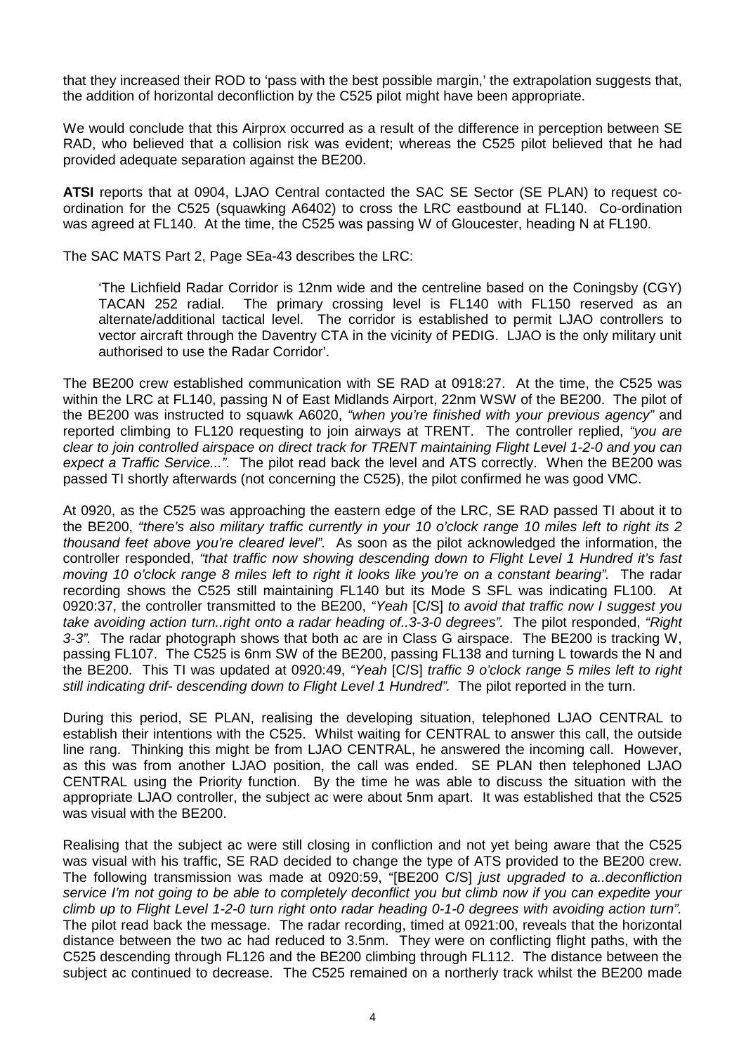that they increased their ROD to 'pass with the best possible margin,' the extrapolation suggests that, the addition of horizontal deconfliction by the C525 pilot might have been appropriate.

We would conclude that this Airprox occurred as a result of the difference in perception between SE RAD, who believed that a collision risk was evident; whereas the C525 pilot believed that he had provided adequate separation against the BE200.

**ATSI** reports that at 0904, LJAO Central contacted the SAC SE Sector (SE PLAN) to request coordination for the C525 (squawking A6402) to cross the LRC eastbound at FL140. Co-ordination was agreed at FL140. At the time, the C525 was passing W of Gloucester, heading N at FL190.

The SAC MATS Part 2, Page SEa-43 describes the LRC:

'The Lichfield Radar Corridor is 12nm wide and the centreline based on the Coningsby (CGY) TACAN 252 radial. The primary crossing level is FL140 with FL150 reserved as an alternate/additional tactical level. The corridor is established to permit LJAO controllers to vector aircraft through the Daventry CTA in the vicinity of PEDIG. LJAO is the only military unit authorised to use the Radar Corridor'.

The BE200 crew established communication with SE RAD at 0918:27. At the time, the C525 was within the LRC at FL140, passing N of East Midlands Airport, 22nm WSW of the BE200. The pilot of the BE200 was instructed to squawk A6020, *"when you're finished with your previous agency"* and reported climbing to FL120 requesting to join airways at TRENT. The controller replied, *"you are clear to join controlled airspace on direct track for TRENT maintaining Flight Level 1-2-0 and you can expect a Traffic Service...".* The pilot read back the level and ATS correctly. When the BE200 was passed TI shortly afterwards (not concerning the C525), the pilot confirmed he was good VMC.

At 0920, as the C525 was approaching the eastern edge of the LRC, SE RAD passed TI about it to the BE200, *"there's also military traffic currently in your 10 o'clock range 10 miles left to right its 2 thousand feet above you're cleared level".* As soon as the pilot acknowledged the information, the controller responded, *"that traffic now showing descending down to Flight Level 1 Hundred it's fast moving 10 o'clock range 8 miles left to right it looks like you're on a constant bearing".* The radar recording shows the C525 still maintaining FL140 but its Mode S SFL was indicating FL100. At 0920:37, the controller transmitted to the BE200, *"Yeah* [C/S] *to avoid that traffic now I suggest you take avoiding action turn..right onto a radar heading of..3-3-0 degrees".* The pilot responded, *"Right 3-3".* The radar photograph shows that both ac are in Class G airspace. The BE200 is tracking W, passing FL107. The C525 is 6nm SW of the BE200, passing FL138 and turning L towards the N and the BE200. This TI was updated at 0920:49, *"Yeah* [C/S] *traffic 9 o'clock range 5 miles left to right still indicating drif- descending down to Flight Level 1 Hundred".* The pilot reported in the turn.

During this period, SE PLAN, realising the developing situation, telephoned LJAO CENTRAL to establish their intentions with the C525. Whilst waiting for CENTRAL to answer this call, the outside line rang. Thinking this might be from LJAO CENTRAL, he answered the incoming call. However, as this was from another LJAO position, the call was ended. SE PLAN then telephoned LJAO CENTRAL using the Priority function. By the time he was able to discuss the situation with the appropriate LJAO controller, the subject ac were about 5nm apart. It was established that the C525 was visual with the BE200.

Realising that the subject ac were still closing in confliction and not yet being aware that the C525 was visual with his traffic, SE RAD decided to change the type of ATS provided to the BE200 crew. The following transmission was made at 0920:59, "[BE200 C/S] *just upgraded to a..deconfliction service I'm not going to be able to completely deconflict you but climb now if you can expedite your climb up to Flight Level 1-2-0 turn right onto radar heading 0-1-0 degrees with avoiding action turn".*  The pilot read back the message. The radar recording, timed at 0921:00, reveals that the horizontal distance between the two ac had reduced to 3.5nm. They were on conflicting flight paths, with the C525 descending through FL126 and the BE200 climbing through FL112. The distance between the subject ac continued to decrease. The C525 remained on a northerly track whilst the BE200 made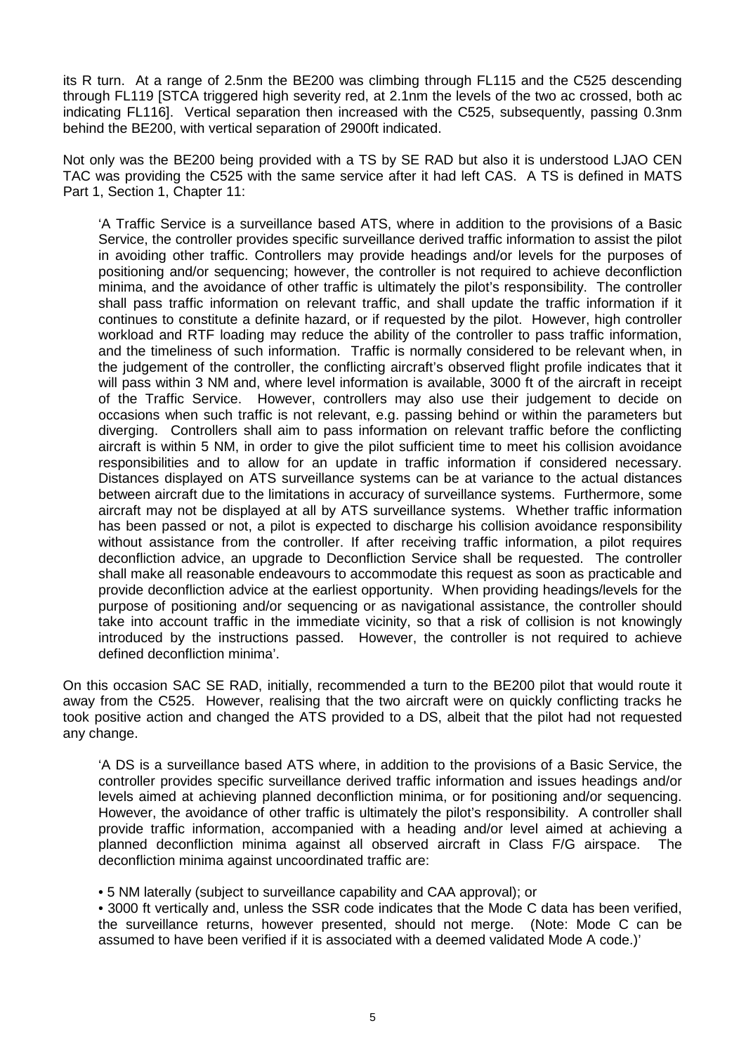its R turn. At a range of 2.5nm the BE200 was climbing through FL115 and the C525 descending through FL119 [STCA triggered high severity red, at 2.1nm the levels of the two ac crossed, both ac indicating FL116]. Vertical separation then increased with the C525, subsequently, passing 0.3nm behind the BE200, with vertical separation of 2900ft indicated.

Not only was the BE200 being provided with a TS by SE RAD but also it is understood LJAO CEN TAC was providing the C525 with the same service after it had left CAS. A TS is defined in MATS Part 1, Section 1, Chapter 11:

'A Traffic Service is a surveillance based ATS, where in addition to the provisions of a Basic Service, the controller provides specific surveillance derived traffic information to assist the pilot in avoiding other traffic. Controllers may provide headings and/or levels for the purposes of positioning and/or sequencing; however, the controller is not required to achieve deconfliction minima, and the avoidance of other traffic is ultimately the pilot's responsibility. The controller shall pass traffic information on relevant traffic, and shall update the traffic information if it continues to constitute a definite hazard, or if requested by the pilot. However, high controller workload and RTF loading may reduce the ability of the controller to pass traffic information, and the timeliness of such information. Traffic is normally considered to be relevant when, in the judgement of the controller, the conflicting aircraft's observed flight profile indicates that it will pass within 3 NM and, where level information is available, 3000 ft of the aircraft in receipt of the Traffic Service. However, controllers may also use their judgement to decide on occasions when such traffic is not relevant, e.g. passing behind or within the parameters but diverging. Controllers shall aim to pass information on relevant traffic before the conflicting aircraft is within 5 NM, in order to give the pilot sufficient time to meet his collision avoidance responsibilities and to allow for an update in traffic information if considered necessary. Distances displayed on ATS surveillance systems can be at variance to the actual distances between aircraft due to the limitations in accuracy of surveillance systems. Furthermore, some aircraft may not be displayed at all by ATS surveillance systems. Whether traffic information has been passed or not, a pilot is expected to discharge his collision avoidance responsibility without assistance from the controller. If after receiving traffic information, a pilot requires deconfliction advice, an upgrade to Deconfliction Service shall be requested. The controller shall make all reasonable endeavours to accommodate this request as soon as practicable and provide deconfliction advice at the earliest opportunity. When providing headings/levels for the purpose of positioning and/or sequencing or as navigational assistance, the controller should take into account traffic in the immediate vicinity, so that a risk of collision is not knowingly introduced by the instructions passed. However, the controller is not required to achieve defined deconfliction minima'.

On this occasion SAC SE RAD, initially, recommended a turn to the BE200 pilot that would route it away from the C525. However, realising that the two aircraft were on quickly conflicting tracks he took positive action and changed the ATS provided to a DS, albeit that the pilot had not requested any change.

'A DS is a surveillance based ATS where, in addition to the provisions of a Basic Service, the controller provides specific surveillance derived traffic information and issues headings and/or levels aimed at achieving planned deconfliction minima, or for positioning and/or sequencing. However, the avoidance of other traffic is ultimately the pilot's responsibility. A controller shall provide traffic information, accompanied with a heading and/or level aimed at achieving a planned deconfliction minima against all observed aircraft in Class F/G airspace. The deconfliction minima against uncoordinated traffic are:

• 5 NM laterally (subject to surveillance capability and CAA approval); or

• 3000 ft vertically and, unless the SSR code indicates that the Mode C data has been verified, the surveillance returns, however presented, should not merge. (Note: Mode C can be assumed to have been verified if it is associated with a deemed validated Mode A code.)'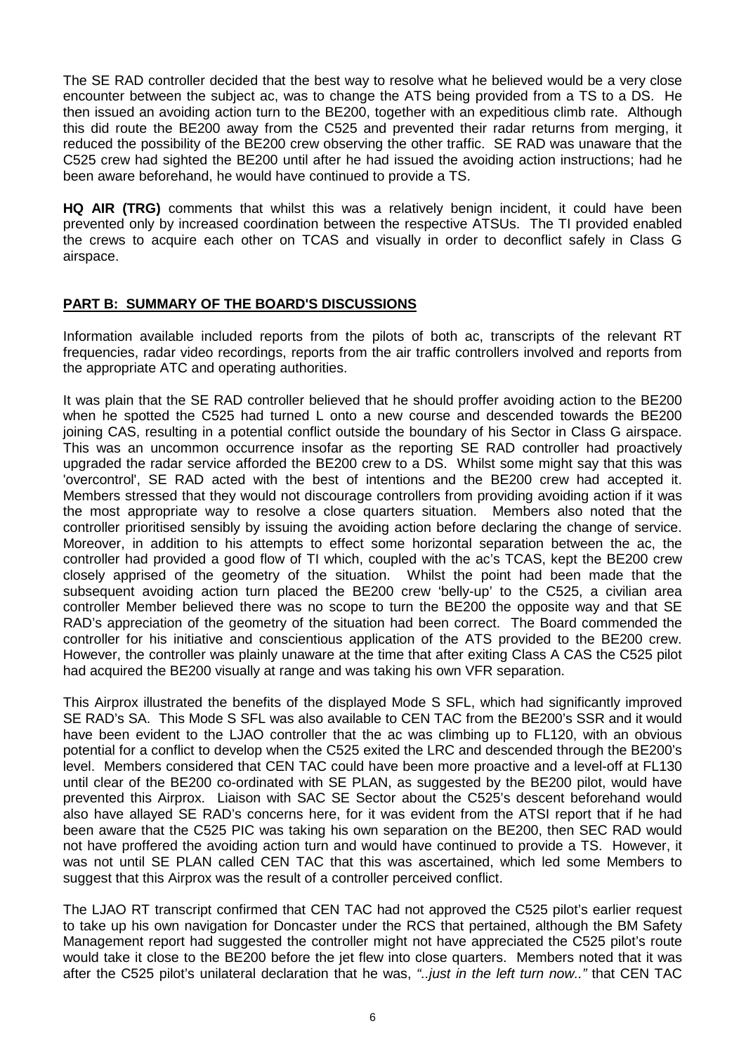The SE RAD controller decided that the best way to resolve what he believed would be a very close encounter between the subject ac, was to change the ATS being provided from a TS to a DS. He then issued an avoiding action turn to the BE200, together with an expeditious climb rate. Although this did route the BE200 away from the C525 and prevented their radar returns from merging, it reduced the possibility of the BE200 crew observing the other traffic. SE RAD was unaware that the C525 crew had sighted the BE200 until after he had issued the avoiding action instructions; had he been aware beforehand, he would have continued to provide a TS.

**HQ AIR (TRG)** comments that whilst this was a relatively benign incident, it could have been prevented only by increased coordination between the respective ATSUs. The TI provided enabled the crews to acquire each other on TCAS and visually in order to deconflict safely in Class G airspace.

## **PART B: SUMMARY OF THE BOARD'S DISCUSSIONS**

Information available included reports from the pilots of both ac, transcripts of the relevant RT frequencies, radar video recordings, reports from the air traffic controllers involved and reports from the appropriate ATC and operating authorities.

It was plain that the SE RAD controller believed that he should proffer avoiding action to the BE200 when he spotted the C525 had turned L onto a new course and descended towards the BE200 joining CAS, resulting in a potential conflict outside the boundary of his Sector in Class G airspace. This was an uncommon occurrence insofar as the reporting SE RAD controller had proactively upgraded the radar service afforded the BE200 crew to a DS. Whilst some might say that this was 'overcontrol', SE RAD acted with the best of intentions and the BE200 crew had accepted it. Members stressed that they would not discourage controllers from providing avoiding action if it was the most appropriate way to resolve a close quarters situation. Members also noted that the controller prioritised sensibly by issuing the avoiding action before declaring the change of service. Moreover, in addition to his attempts to effect some horizontal separation between the ac, the controller had provided a good flow of TI which, coupled with the ac's TCAS, kept the BE200 crew closely apprised of the geometry of the situation. Whilst the point had been made that the subsequent avoiding action turn placed the BE200 crew 'belly-up' to the C525, a civilian area controller Member believed there was no scope to turn the BE200 the opposite way and that SE RAD's appreciation of the geometry of the situation had been correct. The Board commended the controller for his initiative and conscientious application of the ATS provided to the BE200 crew. However, the controller was plainly unaware at the time that after exiting Class A CAS the C525 pilot had acquired the BE200 visually at range and was taking his own VFR separation.

This Airprox illustrated the benefits of the displayed Mode S SFL, which had significantly improved SE RAD's SA. This Mode S SFL was also available to CEN TAC from the BE200's SSR and it would have been evident to the LJAO controller that the ac was climbing up to FL120, with an obvious potential for a conflict to develop when the C525 exited the LRC and descended through the BE200's level. Members considered that CEN TAC could have been more proactive and a level-off at FL130 until clear of the BE200 co-ordinated with SE PLAN, as suggested by the BE200 pilot, would have prevented this Airprox. Liaison with SAC SE Sector about the C525's descent beforehand would also have allayed SE RAD's concerns here, for it was evident from the ATSI report that if he had been aware that the C525 PIC was taking his own separation on the BE200, then SEC RAD would not have proffered the avoiding action turn and would have continued to provide a TS. However, it was not until SE PLAN called CEN TAC that this was ascertained, which led some Members to suggest that this Airprox was the result of a controller perceived conflict.

The LJAO RT transcript confirmed that CEN TAC had not approved the C525 pilot's earlier request to take up his own navigation for Doncaster under the RCS that pertained, although the BM Safety Management report had suggested the controller might not have appreciated the C525 pilot's route would take it close to the BE200 before the jet flew into close quarters. Members noted that it was after the C525 pilot's unilateral declaration that he was, *"..just in the left turn now.."* that CEN TAC